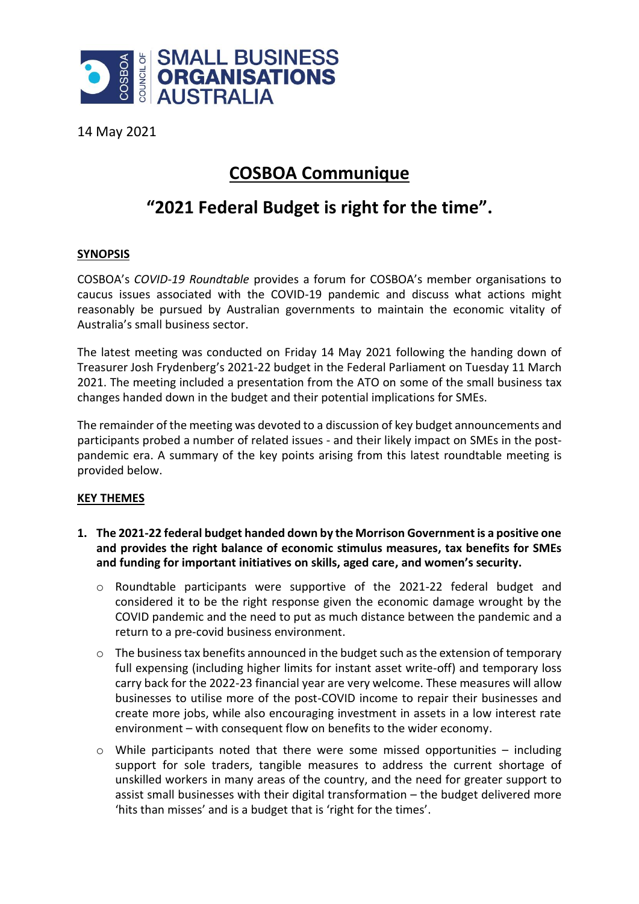

14 May 2021

## **COSBOA Communique**

# **"2021 Federal Budget is right for the time".**

### **SYNOPSIS**

COSBOA's *COVID-19 Roundtable* provides a forum for COSBOA's member organisations to caucus issues associated with the COVID-19 pandemic and discuss what actions might reasonably be pursued by Australian governments to maintain the economic vitality of Australia's small business sector.

The latest meeting was conducted on Friday 14 May 2021 following the handing down of Treasurer Josh Frydenberg's 2021-22 budget in the Federal Parliament on Tuesday 11 March 2021. The meeting included a presentation from the ATO on some of the small business tax changes handed down in the budget and their potential implications for SMEs.

The remainder of the meeting was devoted to a discussion of key budget announcements and participants probed a number of related issues - and their likely impact on SMEs in the postpandemic era. A summary of the key points arising from this latest roundtable meeting is provided below.

### **KEY THEMES**

- **1. The 2021-22 federal budget handed down by the Morrison Government is a positive one and provides the right balance of economic stimulus measures, tax benefits for SMEs and funding for important initiatives on skills, aged care, and women's security.**
	- o Roundtable participants were supportive of the 2021-22 federal budget and considered it to be the right response given the economic damage wrought by the COVID pandemic and the need to put as much distance between the pandemic and a return to a pre-covid business environment.
	- $\circ$  The business tax benefits announced in the budget such as the extension of temporary full expensing (including higher limits for instant asset write-off) and temporary loss carry back for the 2022-23 financial year are very welcome. These measures will allow businesses to utilise more of the post-COVID income to repair their businesses and create more jobs, while also encouraging investment in assets in a low interest rate environment – with consequent flow on benefits to the wider economy.
	- $\circ$  While participants noted that there were some missed opportunities including support for sole traders, tangible measures to address the current shortage of unskilled workers in many areas of the country, and the need for greater support to assist small businesses with their digital transformation – the budget delivered more 'hits than misses' and is a budget that is 'right for the times'.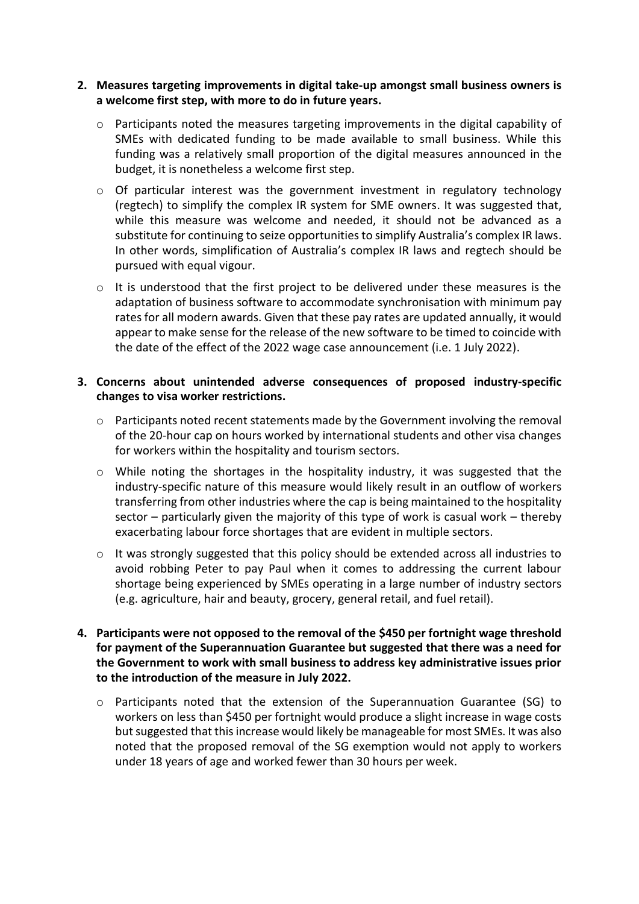#### **2. Measures targeting improvements in digital take-up amongst small business owners is a welcome first step, with more to do in future years.**

- $\circ$  Participants noted the measures targeting improvements in the digital capability of SMEs with dedicated funding to be made available to small business. While this funding was a relatively small proportion of the digital measures announced in the budget, it is nonetheless a welcome first step.
- o Of particular interest was the government investment in regulatory technology (regtech) to simplify the complex IR system for SME owners. It was suggested that, while this measure was welcome and needed, it should not be advanced as a substitute for continuing to seize opportunities to simplify Australia's complex IR laws. In other words, simplification of Australia's complex IR laws and regtech should be pursued with equal vigour.
- o It is understood that the first project to be delivered under these measures is the adaptation of business software to accommodate synchronisation with minimum pay rates for all modern awards. Given that these pay rates are updated annually, it would appear to make sense for the release of the new software to be timed to coincide with the date of the effect of the 2022 wage case announcement (i.e. 1 July 2022).

#### **3. Concerns about unintended adverse consequences of proposed industry-specific changes to visa worker restrictions.**

- o Participants noted recent statements made by the Government involving the removal of the 20-hour cap on hours worked by international students and other visa changes for workers within the hospitality and tourism sectors.
- o While noting the shortages in the hospitality industry, it was suggested that the industry-specific nature of this measure would likely result in an outflow of workers transferring from other industries where the cap is being maintained to the hospitality sector – particularly given the majority of this type of work is casual work – thereby exacerbating labour force shortages that are evident in multiple sectors.
- $\circ$  It was strongly suggested that this policy should be extended across all industries to avoid robbing Peter to pay Paul when it comes to addressing the current labour shortage being experienced by SMEs operating in a large number of industry sectors (e.g. agriculture, hair and beauty, grocery, general retail, and fuel retail).
- **4. Participants were not opposed to the removal of the \$450 per fortnight wage threshold for payment of the Superannuation Guarantee but suggested that there was a need for the Government to work with small business to address key administrative issues prior to the introduction of the measure in July 2022.**
	- $\circ$  Participants noted that the extension of the Superannuation Guarantee (SG) to workers on less than \$450 per fortnight would produce a slight increase in wage costs but suggested that this increase would likely be manageable for most SMEs. It was also noted that the proposed removal of the SG exemption would not apply to workers under 18 years of age and worked fewer than 30 hours per week.